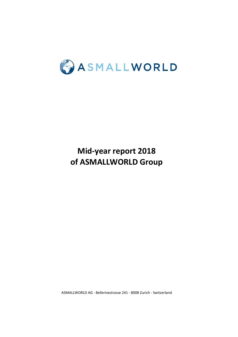

# **of ASMALLWORLD Group Mid-year report 2018**

ASMALLWORLD AG - Bellerivestrasse 241 - 8008 Zurich - Switzerland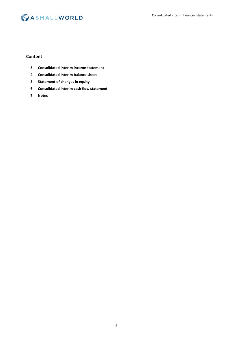

### **Content**

- **Consolidated interim income statement**
- **Consolidated interim balance sheet**
- **Statement of changes in equity**
- **Consolidated interim cash flow statement**
- **Notes**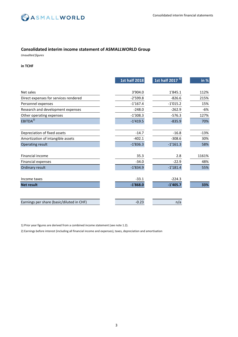

### **Consolidated interim income statement of ASMALLWORLD Group**

*Unaudited figures*

### **in TCHF**

|                                           | <b>1st half 2018</b> | 1st half 2017 $^{1}$ | in $%$ |
|-------------------------------------------|----------------------|----------------------|--------|
| Net sales                                 | 3'904.0              | 1'845.1              | 112%   |
| Direct expenses for services rendered     | $-2'599.8$           | $-826.6$             | 215%   |
| Personnel expenses                        | $-1'167.4$           | $-1'015.2$           | 15%    |
| Research and development expenses         | $-248.0$             | $-262.9$             | -6%    |
| Other operating expenses                  | $-1'308.3$           | $-576.3$             | 127%   |
| EBITDA <sup>2</sup>                       | $-1'419.5$           | $-835.9$             | 70%    |
|                                           |                      |                      |        |
| Depreciation of fixed assets              | $-14.7$              | $-16.8$              | $-13%$ |
| Amortization of intangible assets         | $-402.1$             | $-308.6$             | 30%    |
| <b>Operating result</b>                   | $-1'836.3$           | $-1'161.3$           | 58%    |
|                                           |                      |                      |        |
| Financial income                          | 35.3                 | 2.8                  | 1161%  |
| <b>Financial expenses</b>                 | $-34.0$              | $-22.9$              | 48%    |
| Ordinary result                           | $-1'834.9$           | $-1'181.4$           | 55%    |
|                                           |                      |                      |        |
| Income taxes                              | $-33.1$              | $-224.3$             |        |
| <b>Net result</b>                         | $-1'868.0$           | $-1'405.7$           | 33%    |
|                                           |                      |                      |        |
| Earnings per share (basic/diluted in CHF) | $-0.23$              | n/a                  |        |

1) Prior year figures are derived from a combined income statement (see note 1.2).

2) Earnings before interest (including all financial income and expenses), taxes, depreciation and amortisation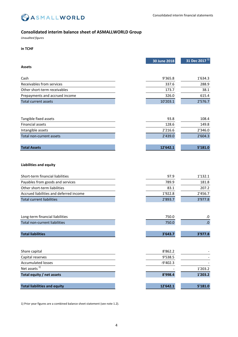

### **Consolidated interim balance sheet of ASMALLWORLD Group**

*Unaudited figures*

### **in TCHF**

|                                         | 30 June 2018 | 31 Dec 2017 <sup>1)</sup> |
|-----------------------------------------|--------------|---------------------------|
| <b>Assets</b>                           |              |                           |
| Cash                                    | 9'365.8      | 1'634.3                   |
| Receivables from services               | 337.6        | 288.9                     |
| Other short-term receivables            | 173.7        | 38.1                      |
| Prepayments and accrued income          | 326.0        | 615.4                     |
| <b>Total current assets</b>             | 10'203.1     | 2'576.7                   |
|                                         |              |                           |
|                                         |              |                           |
| Tangible fixed assets                   | 93.8         | 108.4                     |
| Financial assets                        | 128.6        | 149.8                     |
| Intangible assets                       | 2'216.6      | 2'346.0                   |
| Total non-current assets                | 2'439.0      | 2'604.3                   |
|                                         |              |                           |
| <b>Total Assets</b>                     | 12'642.1     | 5'181.0                   |
|                                         |              |                           |
|                                         |              |                           |
| <b>Liabilities and equity</b>           |              |                           |
| Short-term financial liabilities        | 97.9         | 1'132.1                   |
| Payables from goods and services        | 789.9        | 181.8                     |
| Other short-term liabilities            | 83.1         | 207.2                     |
| Accrued liabilities and deferred income | 1'922.8      | 2'456.7                   |
| <b>Total current liabilities</b>        | 2'893.7      | 3'977.8                   |
|                                         |              |                           |
|                                         |              |                           |
| Long-term financial liabilities         | 750.0        | .0                        |
| <b>Total non-current liabilities</b>    | 750.0        | 0.                        |
|                                         |              |                           |
| <b>Total liabilities</b>                | 3'643.7      | 3'977.8                   |
|                                         |              |                           |
|                                         |              |                           |
| Share capital                           | 8'862.2      |                           |
| Capital reserves                        | 9'538.5      |                           |
| <b>Accumulated losses</b>               | $-9'402.3$   |                           |
| Net assets <sup>1)</sup>                |              | 1'203.2                   |
| Total equity / net assets               | 8'998.4      | 1'203.2                   |
|                                         |              |                           |
| <b>Total liabilities and equity</b>     | 12'642.1     | 5'181.0                   |

1) Prior year figures are a combined balance sheet statement (see note 1.2).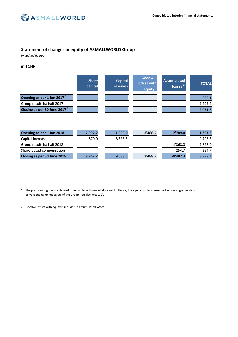

### **Statement of changes in equity of ASMALLWORLD Group**

*Unaudited figures*

### **in TCHF**

|                                         | <b>Share</b><br>capital | <b>Capital</b><br><b>reserves</b> | <b>Goodwill</b><br>offset with<br>equity <sup>2)</sup> | <b>Accumulated</b><br>$\sqrt{2}$ losses <sup>2)</sup> | <b>TOTAL</b> |
|-----------------------------------------|-------------------------|-----------------------------------|--------------------------------------------------------|-------------------------------------------------------|--------------|
| Opening as per 1 Jan 2017 <sup>1)</sup> |                         |                                   | -                                                      |                                                       | $-666.1$     |
| Group result 1st half 2017              |                         |                                   |                                                        |                                                       | $-1'405.7$   |
| Closing as per 30 June 2017 $11$        |                         |                                   | -                                                      |                                                       | $-2'071.8$   |
| Opening as per 1 Jan 2018               | 7'992.2                 | 1'000.0                           | 3'488.5                                                | $-7'789.0$                                            | 1'203.2      |
| Capital increase                        | 870.0                   | 8'538.5                           |                                                        |                                                       | 9'408.5      |
| Group result 1st half 2018              |                         |                                   |                                                        | $-1'868.0$                                            | $-1'868.0$   |
| Share-based compensation                |                         |                                   |                                                        | 254.7                                                 | 254.7        |
| Closing as per 30 June 2018             | 8'862.2                 | 9'538.5                           | 3'488.5                                                | $-9'402.3$                                            | 8'998.4      |

- 1) The prior year figures are derived from combined financial statements. Hence, the equity is solely presented as one single line item corresponding to net assets of the Group (see also note 1.2).
- 2) Goodwill offset with equity is included in accumulated losses.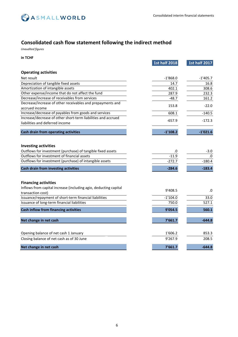

### **Consolidated cash flow statement following the indirect method**

*Unaudited figures*

**in TCHF**

|                                                                                            | <b>1st half 2018</b> | <b>1st half 2017</b> |
|--------------------------------------------------------------------------------------------|----------------------|----------------------|
| <b>Operating activities</b>                                                                |                      |                      |
| Net result                                                                                 | $-1'868.0$           | $-1'405.7$           |
| Depreciation of tangible fixed assets                                                      | 14.7                 | 16.8                 |
| Amortization of intangible assets                                                          | 402.1                | 308.6                |
| Other expense/income that do not affect the fund                                           | 287.9                | 232.3                |
| Decrease/increase of receivables from services                                             | $-48.7$              | 161.2                |
| Decrease/increase of other receivables and prepayments and                                 |                      | $-22.0$              |
| accrued income                                                                             | 153.8                |                      |
| Increase/decrease of payables from goods and services                                      | 608.1                | $-140.5$             |
| Increase/decrease of other short-term liabilities and accrued                              |                      | $-172.3$             |
| liabilities and deferred income                                                            | $-657.9$             |                      |
| Cash drain from operating activities                                                       | $-1'108.2$           | $-1'021.6$           |
| <b>Investing activities</b><br>Outflows for investment (purchase) of tangible fixed assets | .0                   | -3.0                 |
| Outflows for investment of financial assets                                                | $-11.9$              | .0                   |
| Outflows for investment (purchase) of intangible assets                                    | $-272.7$             | $-180.4$             |
| Cash drain from investing activities                                                       | $-284.6$             | $-183.4$             |
|                                                                                            |                      |                      |
| <b>Financing activities</b>                                                                |                      |                      |
| Inflows from capital increase (including agio, deducting capital<br>transaction cost)      | 9'408.5              | .0                   |
| Issuance/repayment of short-term financial liabilities                                     | $-1'104.0$           | 33.0                 |
| Issuance of long-term financial liabilities                                                | 750.0                | 527.1                |
| <b>Cash inflow from financing activities</b>                                               | 9'054.5              | 560.1                |
| Net change in net cash                                                                     | 7'661.7              | $-644.8$             |
| Opening balance of net cash 1 January                                                      | 1'606.2              | 853.3                |
| Closing balance of net cash as of 30 June                                                  | 9'267.9              | 208.5                |
|                                                                                            |                      |                      |
| Net change in net cash                                                                     | 7'661.7              | $-644.8$             |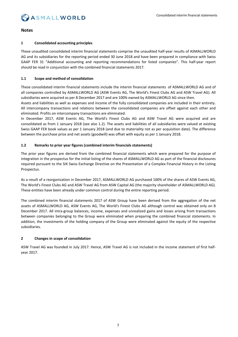

### **Notes**

### **1 Consolidated accounting principles**

These unaudited consolidated interim financial statements comprise the unaudited half-year results of ASMALLWORLD AG and its subsidiaries for the reporting period ended 30 June 2018 and have been prepared in compliance with Swiss GAAP FER 31 "Additional accounting and reporting recommendations for listed companies". This half-year report should be read in conjunction with the combined financial statements 2017.

#### **1.1 Scope and method of consolidation**

These consolidated interim financial statements include the interim financial statements of ASMALLWORLD AG and of all companies controlled by ASMALLWORLD AG (ASW Events AG, The World's Finest Clubs AG and ASW Travel AG). All subsidiaries were acquired as per 8 December 2017 and are 100% owned by ASMALLWORLD AG since then.

Assets and liabilities as well as expenses and income of the fully consolidated companies are included in their entirety. All intercompany transactions and relations between the consolidated companies are offset against each other and eliminated. Profits on intercompany transactions are eliminated.

In December 2017, ASW Events AG, The World's Finest Clubs AG and ASW Travel AG were acquired and are consolidated as from 1 January 2018 (see also 1.2). The assets and liabilities of all subsidiaries were valued at existing Swiss GAAP FER book values as per 1 January 2018 (and due to materiality not as per acquisition date). The difference between the purchase price and net assets (goodwill) was offset with equity as per 1 January 2018.

### **1.2 Remarks to prior year figures (combined interim financials statements)**

The prior year figures are derived from the combined financial statements which were prepared for the purpose of integration in the prospectus for the initial listing of the shares of ASMALLWORLD AG as part of the financial disclosures required pursuant to the SIX Swiss Exchange Directive on the Presentation of a Complex Financial History in the Listing Prospectus.

As a result of a reorganization in December 2017, ASMALLWORLD AG purchased 100% of the shares of ASW Events AG, The World's Finest Clubs AG and ASW Travel AG from ASW Capital AG (the majority shareholder of ASMALLWORLD AG). These entities have been already under common control during the entire reporting period.

The combined interim financial statements 2017 of ASW Group have been derived from the aggregation of the net assets of ASMALLWORLD AG, ASW Events AG, The World's Finest Clubs AG although control was obtained only on 8 December 2017. All intra-group balances, income, expenses and unrealized gains and losses arising from transactions between companies belonging to the Group were eliminated when preparing the combined financial statements. In addition, the investments of the holding company of the Group were eliminated against the equity of the respective subsidiaries.

### **2 Changes in scope of consolidation**

ASW Travel AG was founded in July 2017. Hence, ASW Travel AG is not included in the income statement of first halfyear 2017.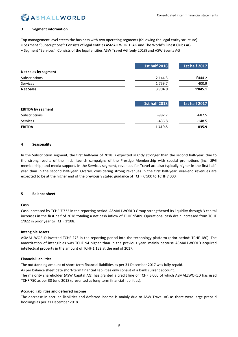## **ASMALLWORLD**

### **3 Segment information**

Top management level steers the business with two operating segments (following the legal entity structure):

- Segment "Subscriptions": Consists of legal entities ASMALLWORLD AG and The World's Finest Clubs AG
- Segment "Services": Consists of the legal entities ASW Travel AG (only 2018) and ASW Events AG

|                          | <b>1st half 2018</b> | <b>1st half 2017</b> |
|--------------------------|----------------------|----------------------|
| Net sales by segment     |                      |                      |
| Subscriptions            | 2'144.3              | 1'444.2              |
| Services                 | 1'759.7              | 400.9                |
| <b>Net Sales</b>         | 3'904.0              | 1'845.1              |
|                          | <b>1st half 2018</b> | <b>1st half 2017</b> |
| <b>EBITDA by segment</b> |                      |                      |
| Subscriptions            | $-982.7$             | $-687.5$             |
| Services                 | $-436.8$             | $-148.5$             |
| <b>EBITDA</b>            | $-1'419.5$           | $-835.9$             |

### **4 Seasonality**

In the Subscription segment, the first half-year of 2018 is expected slightly stronger than the second half-year, due to the strong results of the initial launch campaigns of the Prestige Membership with special promotions (incl. SPG membership) and media support. In the Services segment, revenues for Travel are also typically higher in the first halfyear than in the second half-year. Overall, considering strong revenues in the first half-year, year-end revenues are expected to be at the higher end of the previously stated guidance of TCHF 6'500 to TCHF 7'000.

### **5 Balance sheet**

### **Cash**

Cash increased by TCHF 7'732 in the reporting period. ASMALLWORLD Group strengthened its liquidity through 3 capital increases in the first half of 2018 totaling a net cash inflow of TCHF 9'409. Operational cash drain increased from TCHF 1'022 in prior year to TCHF 1'108.

### **Intangible Assets**

ASMALLWORLD invested TCHF 273 in the reporting period into the technology platform (prior period: TCHF 180). The amortization of intangibles was TCHF 94 higher than in the previous year, mainly because ASMALLWORLD acquired intellectual property in the amount of TCHF 1'152 at the end of 2017.

### **Financial liabilities**

The outstanding amount of short-term financial liabilities as per 31 December 2017 was fully repaid. As per balance sheet date short-term financial liabilities only consist of a bank current account. The majority shareholder (ASW Capital AG) has granted a credit line of TCHF 5'000 of which ASMALLWORLD has used TCHF 750 as per 30 June 2018 (presented as long-term financial liabilities).

### **Accrued liabilities and deferred income**

The decrease in accrued liabilities and deferred income is mainly due to ASW Travel AG as there were large prepaid bookings as per 31 December 2018.